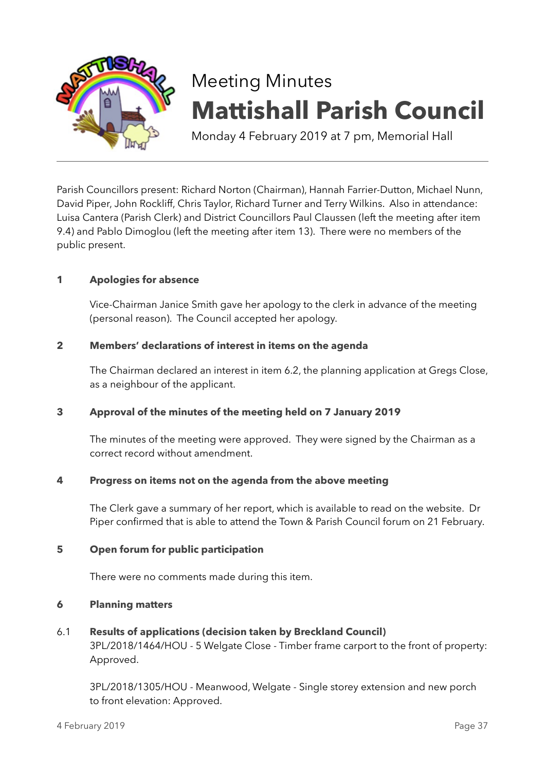

# Meeting Minutes **Mattishall Parish Council**

Monday 4 February 2019 at 7 pm, Memorial Hall

Parish Councillors present: Richard Norton (Chairman), Hannah Farrier-Dutton, Michael Nunn, David Piper, John Rockliff, Chris Taylor, Richard Turner and Terry Wilkins. Also in attendance: Luisa Cantera (Parish Clerk) and District Councillors Paul Claussen (left the meeting after item 9.4) and Pablo Dimoglou (left the meeting after item 13). There were no members of the public present.

# **1 Apologies for absence**

Vice-Chairman Janice Smith gave her apology to the clerk in advance of the meeting (personal reason). The Council accepted her apology.

# **2 Members' declarations of interest in items on the agenda**

The Chairman declared an interest in item 6.2, the planning application at Gregs Close, as a neighbour of the applicant.

# **3 Approval of the minutes of the meeting held on 7 January 2019**

The minutes of the meeting were approved. They were signed by the Chairman as a correct record without amendment.

# **4 Progress on items not on the agenda from the above meeting**

The Clerk gave a summary of her report, which is available to read on the website. Dr Piper confirmed that is able to attend the Town & Parish Council forum on 21 February.

# **5 Open forum for public participation**

There were no comments made during this item.

# **6 Planning matters**

6.1 **Results of applications (decision taken by Breckland Council)**

3PL/2018/1464/HOU - 5 Welgate Close - Timber frame carport to the front of property: Approved.

3PL/2018/1305/HOU - Meanwood, Welgate - Single storey extension and new porch to front elevation: Approved.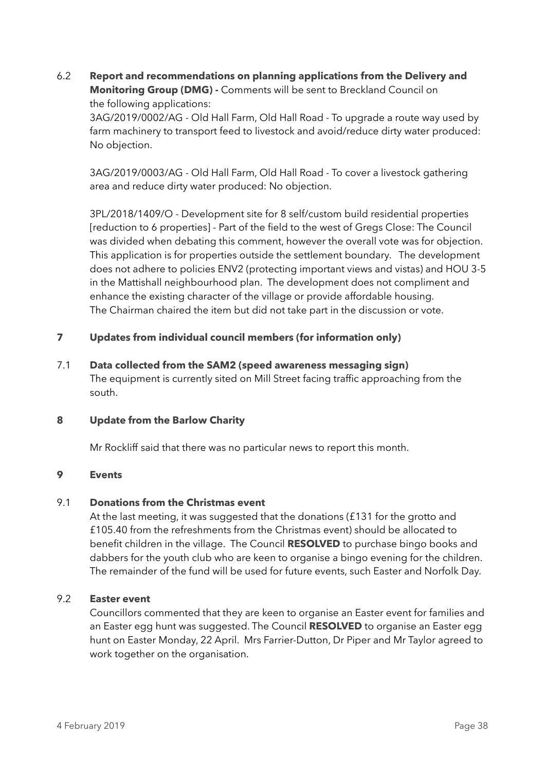6.2 **Report and recommendations on planning applications from the Delivery and Monitoring Group (DMG) -** Comments will be sent to Breckland Council on the following applications:

3AG/2019/0002/AG - Old Hall Farm, Old Hall Road - To upgrade a route way used by farm machinery to transport feed to livestock and avoid/reduce dirty water produced: No objection.

3AG/2019/0003/AG - Old Hall Farm, Old Hall Road - To cover a livestock gathering area and reduce dirty water produced: No objection.

3PL/2018/1409/O - Development site for 8 self/custom build residential properties [reduction to 6 properties] - Part of the field to the west of Gregs Close: The Council was divided when debating this comment, however the overall vote was for objection. This application is for properties outside the settlement boundary. The development does not adhere to policies ENV2 (protecting important views and vistas) and HOU 3-5 in the Mattishall neighbourhood plan. The development does not compliment and enhance the existing character of the village or provide affordable housing. The Chairman chaired the item but did not take part in the discussion or vote.

# **7 Updates from individual council members (for information only)**

7.1 **Data collected from the SAM2 (speed awareness messaging sign)**  The equipment is currently sited on Mill Street facing traffic approaching from the south.

## **8 Update from the Barlow Charity**

Mr Rockliff said that there was no particular news to report this month.

#### **9 Events**

#### 9.1 **Donations from the Christmas event**

At the last meeting, it was suggested that the donations (£131 for the grotto and £105.40 from the refreshments from the Christmas event) should be allocated to benefit children in the village. The Council **RESOLVED** to purchase bingo books and dabbers for the youth club who are keen to organise a bingo evening for the children. The remainder of the fund will be used for future events, such Easter and Norfolk Day.

#### 9.2 **Easter event**

Councillors commented that they are keen to organise an Easter event for families and an Easter egg hunt was suggested. The Council **RESOLVED** to organise an Easter egg hunt on Easter Monday, 22 April. Mrs Farrier-Dutton, Dr Piper and Mr Taylor agreed to work together on the organisation.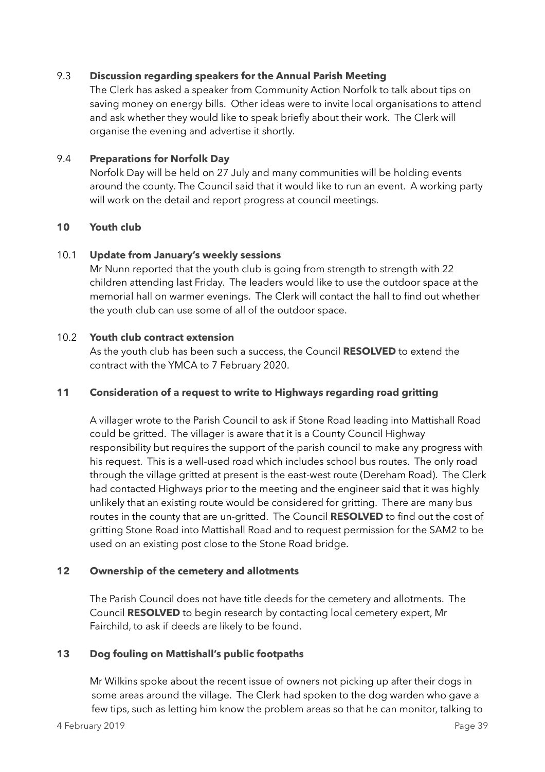## 9.3 **Discussion regarding speakers for the Annual Parish Meeting**

The Clerk has asked a speaker from Community Action Norfolk to talk about tips on saving money on energy bills. Other ideas were to invite local organisations to attend and ask whether they would like to speak briefly about their work. The Clerk will organise the evening and advertise it shortly.

## 9.4 **Preparations for Norfolk Day**

Norfolk Day will be held on 27 July and many communities will be holding events around the county. The Council said that it would like to run an event. A working party will work on the detail and report progress at council meetings.

## **10 Youth club**

## 10.1 **Update from January's weekly sessions**

Mr Nunn reported that the youth club is going from strength to strength with 22 children attending last Friday. The leaders would like to use the outdoor space at the memorial hall on warmer evenings. The Clerk will contact the hall to find out whether the youth club can use some of all of the outdoor space.

## 10.2 **Youth club contract extension**

As the youth club has been such a success, the Council **RESOLVED** to extend the contract with the YMCA to 7 February 2020.

## **11 Consideration of a request to write to Highways regarding road gritting**

A villager wrote to the Parish Council to ask if Stone Road leading into Mattishall Road could be gritted. The villager is aware that it is a County Council Highway responsibility but requires the support of the parish council to make any progress with his request. This is a well-used road which includes school bus routes. The only road through the village gritted at present is the east-west route (Dereham Road). The Clerk had contacted Highways prior to the meeting and the engineer said that it was highly unlikely that an existing route would be considered for gritting. There are many bus routes in the county that are un-gritted. The Council **RESOLVED** to find out the cost of gritting Stone Road into Mattishall Road and to request permission for the SAM2 to be used on an existing post close to the Stone Road bridge.

## **12 Ownership of the cemetery and allotments**

The Parish Council does not have title deeds for the cemetery and allotments. The Council **RESOLVED** to begin research by contacting local cemetery expert, Mr Fairchild, to ask if deeds are likely to be found.

## **13 Dog fouling on Mattishall's public footpaths**

 Mr Wilkins spoke about the recent issue of owners not picking up after their dogs in some areas around the village. The Clerk had spoken to the dog warden who gave a few tips, such as letting him know the problem areas so that he can monitor, talking to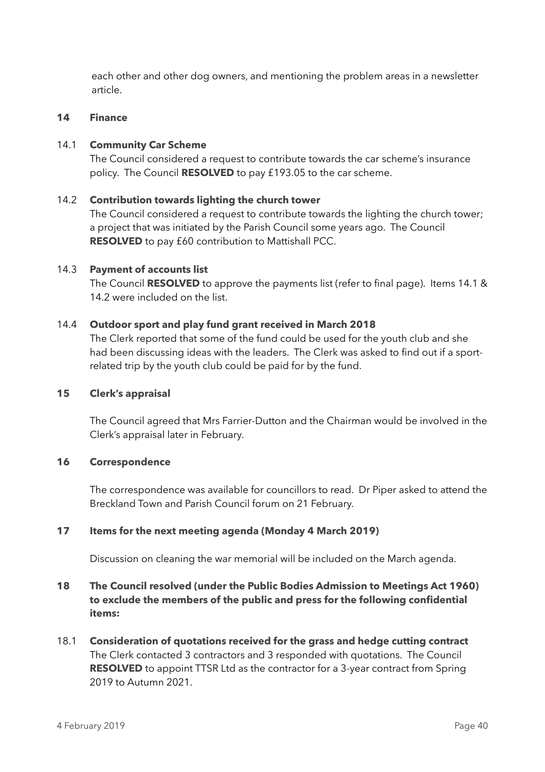each other and other dog owners, and mentioning the problem areas in a newsletter article.

#### **14 Finance**

## 14.1 **Community Car Scheme**

The Council considered a request to contribute towards the car scheme's insurance policy. The Council **RESOLVED** to pay £193.05 to the car scheme.

## 14.2 **Contribution towards lighting the church tower**

The Council considered a request to contribute towards the lighting the church tower; a project that was initiated by the Parish Council some years ago. The Council **RESOLVED** to pay £60 contribution to Mattishall PCC.

## 14.3 **Payment of accounts list**

The Council **RESOLVED** to approve the payments list (refer to final page). Items 14.1 & 14.2 were included on the list.

## 14.4 **Outdoor sport and play fund grant received in March 2018**

The Clerk reported that some of the fund could be used for the youth club and she had been discussing ideas with the leaders. The Clerk was asked to find out if a sportrelated trip by the youth club could be paid for by the fund.

#### **15 Clerk's appraisal**

The Council agreed that Mrs Farrier-Dutton and the Chairman would be involved in the Clerk's appraisal later in February.

#### **16 Correspondence**

The correspondence was available for councillors to read. Dr Piper asked to attend the Breckland Town and Parish Council forum on 21 February.

## **17 Items for the next meeting agenda (Monday 4 March 2019)**

Discussion on cleaning the war memorial will be included on the March agenda.

# **18 The Council resolved (under the Public Bodies Admission to Meetings Act 1960) to exclude the members of the public and press for the following confidential items:**

18.1 **Consideration of quotations received for the grass and hedge cutting contract** The Clerk contacted 3 contractors and 3 responded with quotations. The Council **RESOLVED** to appoint TTSR Ltd as the contractor for a 3-year contract from Spring 2019 to Autumn 2021.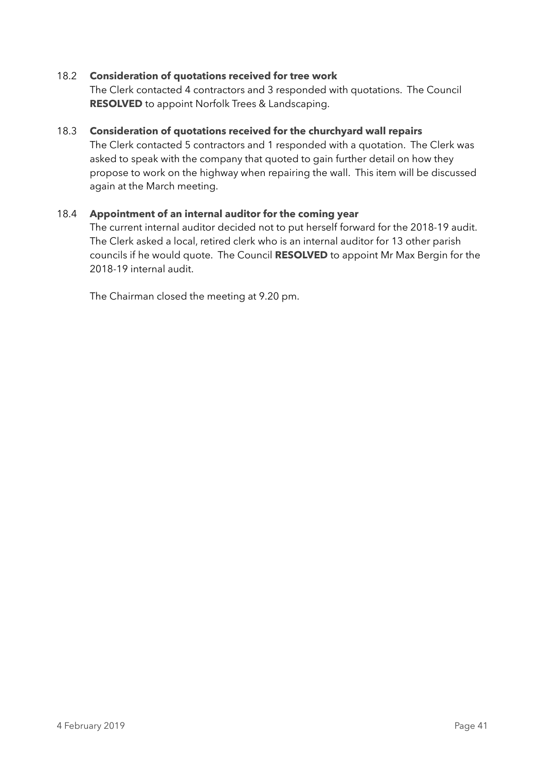## 18.2 **Consideration of quotations received for tree work**

The Clerk contacted 4 contractors and 3 responded with quotations. The Council **RESOLVED** to appoint Norfolk Trees & Landscaping.

## 18.3 **Consideration of quotations received for the churchyard wall repairs**

The Clerk contacted 5 contractors and 1 responded with a quotation. The Clerk was asked to speak with the company that quoted to gain further detail on how they propose to work on the highway when repairing the wall. This item will be discussed again at the March meeting.

## 18.4 **Appointment of an internal auditor for the coming year**

The current internal auditor decided not to put herself forward for the 2018-19 audit. The Clerk asked a local, retired clerk who is an internal auditor for 13 other parish councils if he would quote. The Council **RESOLVED** to appoint Mr Max Bergin for the 2018-19 internal audit.

The Chairman closed the meeting at 9.20 pm.